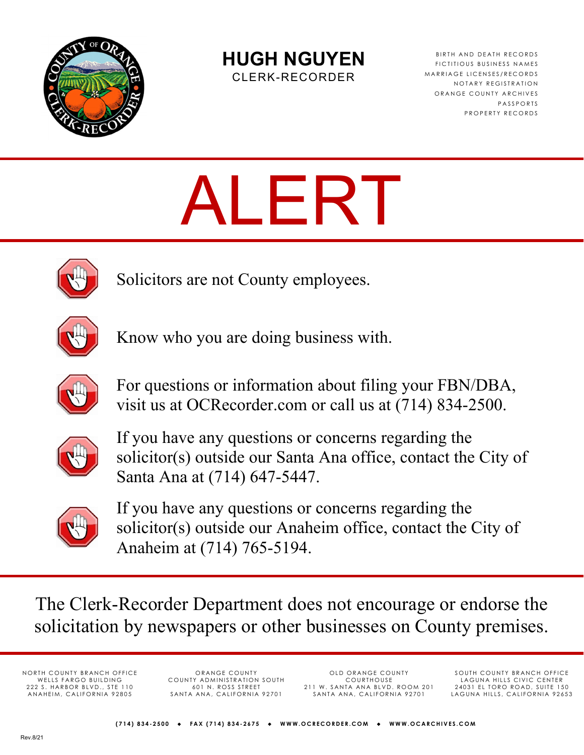

**HUGH NGUYEN** 

CLERK-RECORDER

BIRTH AND DEATH RECORDS FICTITIOUS BUSINESS NAMES MARRIAGE LICENSES/RECORDS NOTARY REGISTRATION ORANGE COUNTY ARCHIVES PASSPORTS PROPERTY RECORDS

# ALERT



Solicitors are not County employees.



Know who you are doing business with.



For questions or information about filing your FBN/DBA, visit us at OCRecorder.com or call us at (714) 834-2500.



If you have any questions or concerns regarding the solicitor(s) outside our Santa Ana office, contact the City of Santa Ana at (714) 647-5447.



If you have any questions or concerns regarding the solicitor(s) outside our Anaheim office, contact the City of Anaheim at (714) 765-5194.

The Clerk-Recorder Department does not encourage or endorse the solicitation by newspapers or other businesses on County premises.

NORTH COUNTY BRANCH OFFICE WELLS FARGO BUILDING 222 S. HARBOR BLVD., STE 110 ANAHEIM, CALIFORNIA 92805

ORANGE COUNTY COUNTY ADMINISTRATION SOUTH 601 N. ROSS STREET SANTA ANA, CALIFORNIA 92701

OLD ORANGE COUNTY COURTHOUSE 211 W. SANTA ANA BLVD. ROOM 201 SANTA ANA, CALIFORNIA 92701

SOUTH COUNTY BRANCH OFFICE LAGUNA HILLS CIVIC CENTER 24031 EL TORO ROAD, SUITE 150 LAGUNA HILLS, CALIFORNIA 92653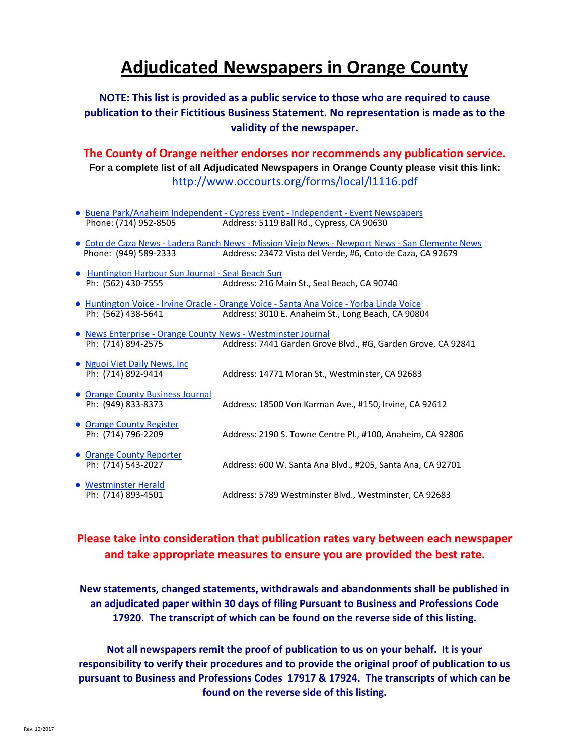## **Adjudicated Newspapers in Orange County**

#### **NOTE: This list is provided as a public service to those who are required to cause publication to their Fictitious Business Statement. No representation is made as to the validity of the newspaper.**

**The County of Orange neither endorses nor recommends any publication service. For a complete list of all Adjudicated Newspapers in Orange County please visit this link:** http://www.occourts.org/forms/local/l1116.pdf

- Buena Park/Anaheim Independent Cypress Event Independent Event Newspapers<br>Phone: (714) 952-8505 <br>Address: 5119 Ball Rd., Cypress, CA 90630 Address: 5119 Ball Rd., Cypress, CA 90630
- Coto de Caza News Ladera Ranch News Mission Viejo News Newport News San Clemente News Phone: (949) 589-2333 Address: ñîìXÀv]-W]}U·ïî^-vouvšUõîòóð
- Huntington Harbour Sun Journal Seal Beach Sun Ph: (562) 430-7555 Address: 216 Main St., Seal Beach, CA 90740
- Huntington Voice Irvine Oracle Orange Voice Santa Ana Voice Yorba Linda Voice<br>
Ph: (562) 438-5641 Address: 3010 E. Anaheim St., Long Beach, CA 908 Address: 3010 E. Anaheim St., Long Beach, CA 90804
- News Enterprise Orange County News Westminster Journal Ph: (714) 894-2575 Address: 7441 Garden Grove Blvd., #G, Garden Grove, CA 92841
- Nguoi Viet Daily News, Inc Ph: (714) 892-9414 Address: 14771 Moran St., Westminster, CA 92683
- Orange County Business Journal
- Orange County Register<br>Ph: (714) 796-2209
- Orange County Reporter<br>Ph: (714) 543-2027
- Westminster Herald
- 
- Ph: (949) 833-8373 Address: 18500 Von Karman Ave., #150, Irvine, CA 92612
	- Address: 2190 S. Towne Centre Pl., #100, Anaheim, CA 92806
		- Address: 600 W. Santa Ana Blvd., #205, Santa Ana, CA 92701
- Ph: (714) 893-4501 Address: 5789 Westminster Blvd., Westminster, CA 92683

#### **Please take into consideration that publication rates vary between each newspaper and take appropriate measures to ensure you are provided the best rate.**

**New statements, changed statements, withdrawals and abandonments shall be published in an adjudicated paper within 30 days of filing Pursuant to Business and Professions Code 17920. The transcript of which can be found on the reverse side of this listing.**

**Not all newspapers remit the proof of publication to us on your behalf. It is your responsibility to verify their procedures and to provide the original proof of publication to us pursuant to Business and Professions Codes 17917 & 17924. The transcripts of which can be found on the reverse side of this listing.**